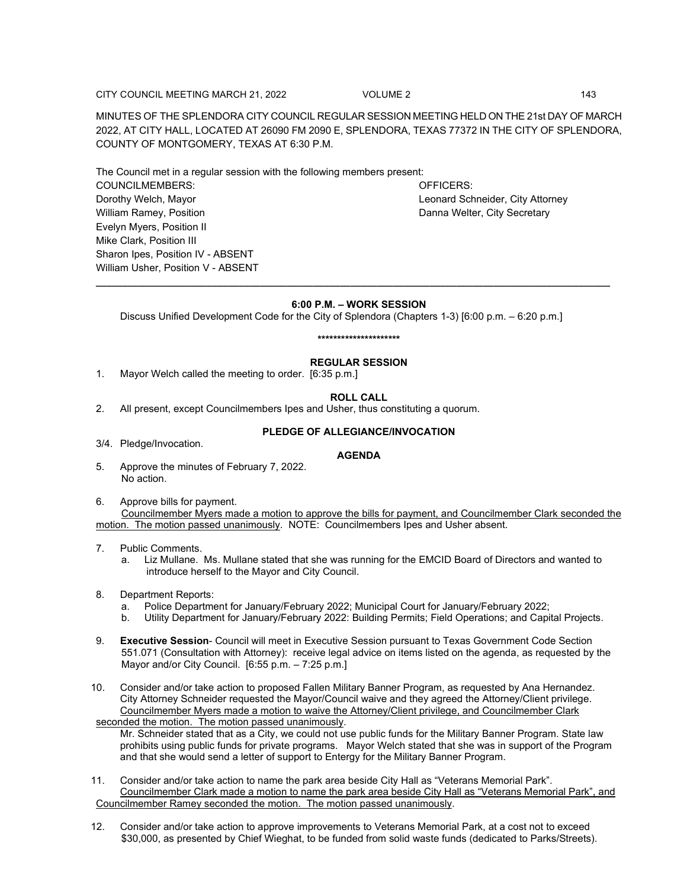CITY COUNCIL MEETING MARCH 21, 2022 VOLUME 2 VOLUME 2

MINUTES OF THE SPLENDORA CITY COUNCIL REGULAR SESSION MEETING HELD ON THE 21st DAY OF MARCH 2022, AT CITY HALL, LOCATED AT 26090 FM 2090 E, SPLENDORA, TEXAS 77372 IN THE CITY OF SPLENDORA, COUNTY OF MONTGOMERY, TEXAS AT 6:30 P.M.

The Council met in a regular session with the following members present: COUNCILMEMBERS: OFFICERS: Dorothy Welch, Mayor Leonard Schneider, City Attorney William Ramey, Position **Danna Welter, City Secretary** Danna Welter, City Secretary Evelyn Myers, Position II Mike Clark, Position III Sharon Ipes, Position IV - ABSENT William Usher, Position V - ABSENT

# **6:00 P.M. – WORK SESSION**

**\_\_\_\_\_\_\_\_\_\_\_\_\_\_\_\_\_\_\_\_\_\_\_\_\_\_\_\_\_\_\_\_\_\_\_\_\_\_\_\_\_\_\_\_\_\_\_\_\_\_\_\_\_\_\_\_\_\_\_\_\_\_\_\_\_\_\_\_\_\_\_\_\_\_\_\_\_\_\_\_\_\_\_\_\_\_\_\_\_\_\_\_\_\_\_\_\_**

Discuss Unified Development Code for the City of Splendora (Chapters 1-3) [6:00 p.m. – 6:20 p.m.]

# **\*\*\*\*\*\*\*\*\*\*\*\*\*\*\*\*\*\*\*\*\***

# **REGULAR SESSION**

1. Mayor Welch called the meeting to order. [6:35 p.m.]

### **ROLL CALL**

2. All present, except Councilmembers Ipes and Usher, thus constituting a quorum.

### **PLEDGE OF ALLEGIANCE/INVOCATION**

3/4. Pledge/Invocation.

### **AGENDA**

- 5. Approve the minutes of February 7, 2022. No action.
- 6. Approve bills for payment.

Councilmember Myers made a motion to approve the bills for payment, and Councilmember Clark seconded the motion. The motion passed unanimously. NOTE: Councilmembers Ipes and Usher absent.

# 7. Public Comments.

- a. Liz Mullane. Ms. Mullane stated that she was running for the EMCID Board of Directors and wanted to introduce herself to the Mayor and City Council.
- 8. Department Reports:
	- a. Police Department for January/February 2022; Municipal Court for January/February 2022;
	- b. Utility Department for January/February 2022: Building Permits; Field Operations; and Capital Projects.
- 9. **Executive Session** Council will meet in Executive Session pursuant to Texas Government Code Section 551.071 (Consultation with Attorney): receive legal advice on items listed on the agenda, as requested by the Mayor and/or City Council. [6:55 p.m. – 7:25 p.m.]
- 10. Consider and/or take action to proposed Fallen Military Banner Program, as requested by Ana Hernandez. City Attorney Schneider requested the Mayor/Council waive and they agreed the Attorney/Client privilege. Councilmember Myers made a motion to waive the Attorney/Client privilege, and Councilmember Clark

seconded the motion. The motion passed unanimously.

- Mr. Schneider stated that as a City, we could not use public funds for the Military Banner Program. State law prohibits using public funds for private programs. Mayor Welch stated that she was in support of the Program and that she would send a letter of support to Entergy for the Military Banner Program.
- 11. Consider and/or take action to name the park area beside City Hall as "Veterans Memorial Park". Councilmember Clark made a motion to name the park area beside City Hall as "Veterans Memorial Park", and Councilmember Ramey seconded the motion. The motion passed unanimously.
- 12. Consider and/or take action to approve improvements to Veterans Memorial Park, at a cost not to exceed \$30,000, as presented by Chief Wieghat, to be funded from solid waste funds (dedicated to Parks/Streets).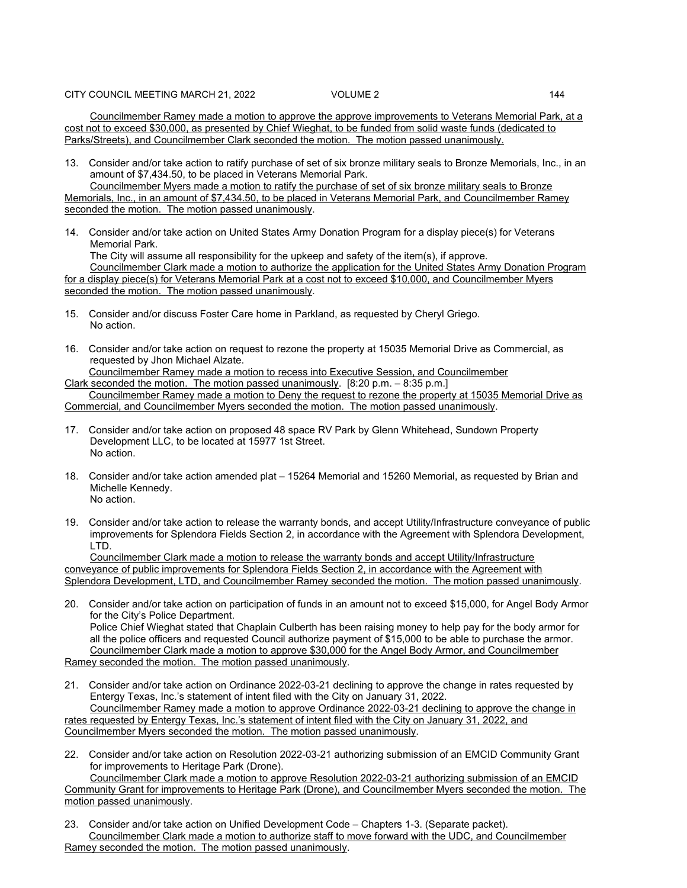Councilmember Ramey made a motion to approve the approve improvements to Veterans Memorial Park, at a cost not to exceed \$30,000, as presented by Chief Wieghat, to be funded from solid waste funds (dedicated to Parks/Streets), and Councilmember Clark seconded the motion. The motion passed unanimously.

13. Consider and/or take action to ratify purchase of set of six bronze military seals to Bronze Memorials, Inc., in an amount of \$7,434.50, to be placed in Veterans Memorial Park.

Councilmember Myers made a motion to ratify the purchase of set of six bronze military seals to Bronze Memorials, Inc., in an amount of \$7,434.50, to be placed in Veterans Memorial Park, and Councilmember Ramey seconded the motion. The motion passed unanimously.

14. Consider and/or take action on United States Army Donation Program for a display piece(s) for Veterans Memorial Park.

The City will assume all responsibility for the upkeep and safety of the item(s), if approve. Councilmember Clark made a motion to authorize the application for the United States Army Donation Program for a display piece(s) for Veterans Memorial Park at a cost not to exceed \$10,000, and Councilmember Myers seconded the motion. The motion passed unanimously.

- 15. Consider and/or discuss Foster Care home in Parkland, as requested by Cheryl Griego. No action.
- 16. Consider and/or take action on request to rezone the property at 15035 Memorial Drive as Commercial, as requested by Jhon Michael Alzate.

Councilmember Ramey made a motion to recess into Executive Session, and Councilmember Clark seconded the motion. The motion passed unanimously. [8:20 p.m. – 8:35 p.m.]

Councilmember Ramey made a motion to Deny the request to rezone the property at 15035 Memorial Drive as Commercial, and Councilmember Myers seconded the motion. The motion passed unanimously.

- 17. Consider and/or take action on proposed 48 space RV Park by Glenn Whitehead, Sundown Property Development LLC, to be located at 15977 1st Street. No action.
- 18. Consider and/or take action amended plat 15264 Memorial and 15260 Memorial, as requested by Brian and Michelle Kennedy. No action.
- 19. Consider and/or take action to release the warranty bonds, and accept Utility/Infrastructure conveyance of public improvements for Splendora Fields Section 2, in accordance with the Agreement with Splendora Development, LTD.

Councilmember Clark made a motion to release the warranty bonds and accept Utility/Infrastructure conveyance of public improvements for Splendora Fields Section 2, in accordance with the Agreement with Splendora Development, LTD, and Councilmember Ramey seconded the motion. The motion passed unanimously.

20. Consider and/or take action on participation of funds in an amount not to exceed \$15,000, for Angel Body Armor for the City's Police Department.

Police Chief Wieghat stated that Chaplain Culberth has been raising money to help pay for the body armor for all the police officers and requested Council authorize payment of \$15,000 to be able to purchase the armor. Councilmember Clark made a motion to approve \$30,000 for the Angel Body Armor, and Councilmember Ramey seconded the motion. The motion passed unanimously.

21. Consider and/or take action on Ordinance 2022-03-21 declining to approve the change in rates requested by Entergy Texas, Inc.'s statement of intent filed with the City on January 31, 2022. Councilmember Ramey made a motion to approve Ordinance 2022-03-21 declining to approve the change in

rates requested by Entergy Texas, Inc.'s statement of intent filed with the City on January 31, 2022, and Councilmember Myers seconded the motion. The motion passed unanimously.

22. Consider and/or take action on Resolution 2022-03-21 authorizing submission of an EMCID Community Grant for improvements to Heritage Park (Drone).

Councilmember Clark made a motion to approve Resolution 2022-03-21 authorizing submission of an EMCID Community Grant for improvements to Heritage Park (Drone), and Councilmember Myers seconded the motion. The motion passed unanimously.

23. Consider and/or take action on Unified Development Code – Chapters 1-3. (Separate packet). Councilmember Clark made a motion to authorize staff to move forward with the UDC, and Councilmember Ramey seconded the motion. The motion passed unanimously.